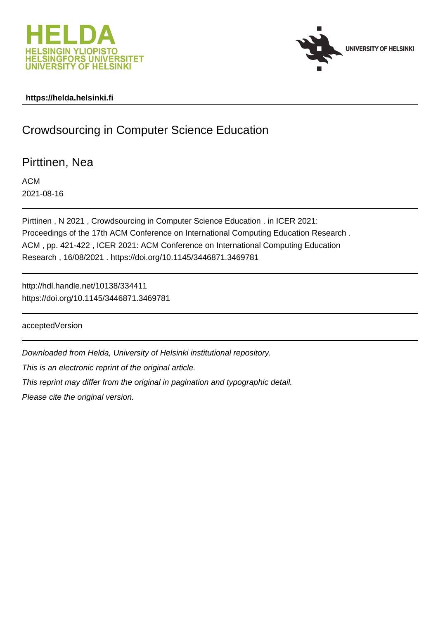



## **https://helda.helsinki.fi**

# Crowdsourcing in Computer Science Education

Pirttinen, Nea

ACM 2021-08-16

Pirttinen , N 2021 , Crowdsourcing in Computer Science Education . in ICER 2021: Proceedings of the 17th ACM Conference on International Computing Education Research . ACM , pp. 421-422 , ICER 2021: ACM Conference on International Computing Education Research , 16/08/2021 . https://doi.org/10.1145/3446871.3469781

http://hdl.handle.net/10138/334411 https://doi.org/10.1145/3446871.3469781

acceptedVersion

Downloaded from Helda, University of Helsinki institutional repository.

This is an electronic reprint of the original article.

This reprint may differ from the original in pagination and typographic detail.

Please cite the original version.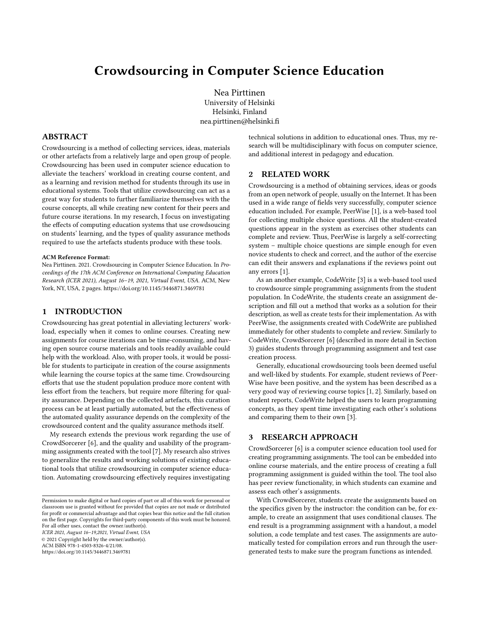## Crowdsourcing in Computer Science Education

Nea Pirttinen University of Helsinki Helsinki, Finland nea.pirttinen@helsinki.fi

### ABSTRACT

Crowdsourcing is a method of collecting services, ideas, materials or other artefacts from a relatively large and open group of people. Crowdsourcing has been used in computer science education to alleviate the teachers' workload in creating course content, and as a learning and revision method for students through its use in educational systems. Tools that utilize crowdsourcing can act as a great way for students to further familiarize themselves with the course concepts, all while creating new content for their peers and future course iterations. In my research, I focus on investigating the effects of computing education systems that use crowdsoucing on students' learning, and the types of quality assurance methods required to use the artefacts students produce with these tools.

#### ACM Reference Format:

Nea Pirttinen. 2021. Crowdsourcing in Computer Science Education. In Proceedings of the 17th ACM Conference on International Computing Education Research (ICER 2021), August 16–19, 2021, Virtual Event, USA. ACM, New York, NY, USA, 2 pages.<https://doi.org/10.1145/3446871.3469781>

## 1 INTRODUCTION

Crowdsourcing has great potential in alleviating lecturers' workload, especially when it comes to online courses. Creating new assignments for course iterations can be time-consuming, and having open source course materials and tools readily available could help with the workload. Also, with proper tools, it would be possible for students to participate in creation of the course assignments while learning the course topics at the same time. Crowdsourcing efforts that use the student population produce more content with less effort from the teachers, but require more filtering for quality assurance. Depending on the collected artefacts, this curation process can be at least partially automated, but the effectiveness of the automated quality assurance depends on the complexity of the crowdsourced content and the quality assurance methods itself.

My research extends the previous work regarding the use of CrowdSorcerer [6], and the quality and usability of the programming assignments created with the tool [7]. My research also strives to generalize the results and working solutions of existing educational tools that utilize crowdsourcing in computer science education. Automating crowdsourcing effectively requires investigating

ICER 2021, August 16–19,2021, Virtual Event, USA

© 2021 Copyright held by the owner/author(s).

ACM ISBN 978-1-4503-8326-4/21/08.

<https://doi.org/10.1145/3446871.3469781>

technical solutions in addition to educational ones. Thus, my research will be multidisciplinary with focus on computer science, and additional interest in pedagogy and education.

## 2 RELATED WORK

Crowdsourcing is a method of obtaining services, ideas or goods from an open network of people, usually on the Internet. It has been used in a wide range of fields very successfully, computer science education included. For example, PeerWise [1], is a web-based tool for collecting multiple choice questions. All the student-created questions appear in the system as exercises other students can complete and review. Thus, PeerWise is largely a self-correcting system – multiple choice questions are simple enough for even novice students to check and correct, and the author of the exercise can edit their answers and explanations if the reviews point out any errors [1].

As an another example, CodeWrite [3] is a web-based tool used to crowdsource simple programming assignments from the student population. In CodeWrite, the students create an assignment description and fill out a method that works as a solution for their description, as well as create tests for their implementation. As with PeerWise, the assignments created with CodeWrite are published immediately for other students to complete and review. Similarly to CodeWrite, CrowdSorcerer [6] (described in more detail in Section 3) guides students through programming assignment and test case creation process.

Generally, educational crowdsourcing tools been deemed useful and well-liked by students. For example, student reviews of Peer-Wise have been positive, and the system has been described as a very good way of reviewing course topics [1, 2]. Similarly, based on student reports, CodeWrite helped the users to learn programming concepts, as they spent time investigating each other's solutions and comparing them to their own [3].

## 3 RESEARCH APPROACH

CrowdSorcerer [6] is a computer science education tool used for creating programming assignments. The tool can be embedded into online course materials, and the entire process of creating a full programming assignment is guided within the tool. The tool also has peer review functionality, in which students can examine and assess each other's assignments.

With CrowdSorcerer, students create the assignments based on the specifics given by the instructor: the condition can be, for example, to create an assignment that uses conditional clauses. The end result is a programming assignment with a handout, a model solution, a code template and test cases. The assignments are automatically tested for compilation errors and run through the usergenerated tests to make sure the program functions as intended.

Permission to make digital or hard copies of part or all of this work for personal or classroom use is granted without fee provided that copies are not made or distributed for profit or commercial advantage and that copies bear this notice and the full citation on the first page. Copyrights for third-party components of this work must be honored. For all other uses, contact the owner/author(s).